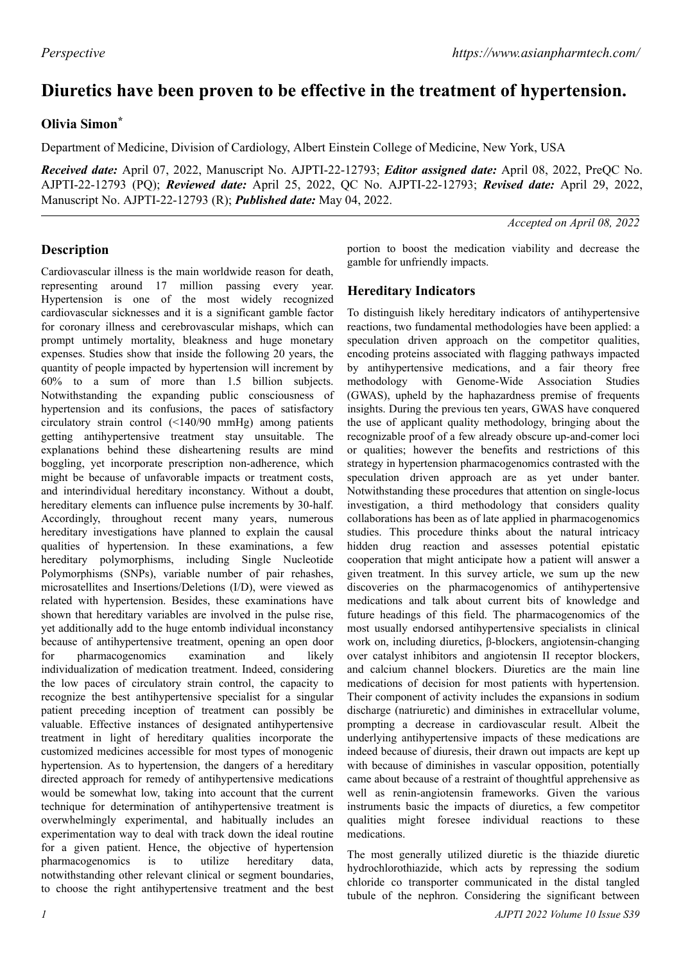# **Diuretics have been proven to be effective in the treatment of hypertension.**

## **Olivia Simon\***

Department of Medicine, Division of Cardiology, Albert Einstein College of Medicine, New York, USA

*Received date:* April 07, 2022, Manuscript No. AJPTI-22-12793; *Editor assigned date:* April 08, 2022, PreQC No. AJPTI-22-12793 (PQ); *Reviewed date:* April 25, 2022, QC No. AJPTI-22-12793; *Revised date:* April 29, 2022, Manuscript No. AJPTI-22-12793 (R); *Published date:* May 04, 2022.

*Accepted on April 08, 2022*

### **Description**

Cardiovascular illness is the main worldwide reason for death, representing around 17 million passing every year. Hypertension is one of the most widely recognized cardiovascular sicknesses and it is a significant gamble factor for coronary illness and cerebrovascular mishaps, which can prompt untimely mortality, bleakness and huge monetary expenses. Studies show that inside the following 20 years, the quantity of people impacted by hypertension will increment by 60% to a sum of more than 1.5 billion subjects. Notwithstanding the expanding public consciousness of hypertension and its confusions, the paces of satisfactory circulatory strain control (<140/90 mmHg) among patients getting antihypertensive treatment stay unsuitable. The explanations behind these disheartening results are mind boggling, yet incorporate prescription non-adherence, which might be because of unfavorable impacts or treatment costs, and interindividual hereditary inconstancy. Without a doubt, hereditary elements can influence pulse increments by 30-half. Accordingly, throughout recent many years, numerous hereditary investigations have planned to explain the causal qualities of hypertension. In these examinations, a few hereditary polymorphisms, including Single Nucleotide Polymorphisms (SNPs), variable number of pair rehashes, microsatellites and Insertions/Deletions (I/D), were viewed as related with hypertension. Besides, these examinations have shown that hereditary variables are involved in the pulse rise, yet additionally add to the huge entomb individual inconstancy because of antihypertensive treatment, opening an open door for pharmacogenomics examination and likely individualization of medication treatment. Indeed, considering the low paces of circulatory strain control, the capacity to recognize the best antihypertensive specialist for a singular patient preceding inception of treatment can possibly be valuable. Effective instances of designated antihypertensive treatment in light of hereditary qualities incorporate the customized medicines accessible for most types of monogenic hypertension. As to hypertension, the dangers of a hereditary directed approach for remedy of antihypertensive medications would be somewhat low, taking into account that the current technique for determination of antihypertensive treatment is overwhelmingly experimental, and habitually includes an experimentation way to deal with track down the ideal routine for a given patient. Hence, the objective of hypertension pharmacogenomics is to utilize hereditary data, notwithstanding other relevant clinical or segment boundaries, to choose the right antihypertensive treatment and the best

portion to boost the medication viability and decrease the gamble for unfriendly impacts.

### **Hereditary Indicators**

To distinguish likely hereditary indicators of antihypertensive reactions, two fundamental methodologies have been applied: a speculation driven approach on the competitor qualities, encoding proteins associated with flagging pathways impacted by antihypertensive medications, and a fair theory free methodology with Genome-Wide Association Studies (GWAS), upheld by the haphazardness premise of frequents insights. During the previous ten years, GWAS have conquered the use of applicant quality methodology, bringing about the recognizable proof of a few already obscure up-and-comer loci or qualities; however the benefits and restrictions of this strategy in hypertension pharmacogenomics contrasted with the speculation driven approach are as yet under banter. Notwithstanding these procedures that attention on single-locus investigation, a third methodology that considers quality collaborations has been as of late applied in pharmacogenomics studies. This procedure thinks about the natural intricacy hidden drug reaction and assesses potential epistatic cooperation that might anticipate how a patient will answer a given treatment. In this survey article, we sum up the new discoveries on the pharmacogenomics of antihypertensive medications and talk about current bits of knowledge and future headings of this field. The pharmacogenomics of the most usually endorsed antihypertensive specialists in clinical work on, including diuretics, β-blockers, angiotensin-changing over catalyst inhibitors and angiotensin II receptor blockers, and calcium channel blockers. Diuretics are the main line medications of decision for most patients with hypertension. Their component of activity includes the expansions in sodium discharge (natriuretic) and diminishes in extracellular volume, prompting a decrease in cardiovascular result. Albeit the underlying antihypertensive impacts of these medications are indeed because of diuresis, their drawn out impacts are kept up with because of diminishes in vascular opposition, potentially came about because of a restraint of thoughtful apprehensive as well as renin-angiotensin frameworks. Given the various instruments basic the impacts of diuretics, a few competitor qualities might foresee individual reactions to these medications.

The most generally utilized diuretic is the thiazide diuretic hydrochlorothiazide, which acts by repressing the sodium chloride co transporter communicated in the distal tangled tubule of the nephron. Considering the significant between